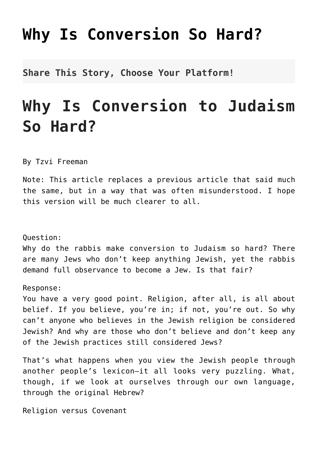## **[Why Is Conversion So Hard?](http://noahide.org/why-is-conversion-to-judaism-so-hard/)**

**Share This Story, Choose Your Platform!**

## **Why Is Conversion to Judaism So Hard?**

By Tzvi Freeman

Note: This article replaces a previous article that said much the same, but in a way that was often misunderstood. I hope this version will be much clearer to all.

Question:

Why do the rabbis make conversion to Judaism so hard? There are many Jews who don't keep anything Jewish, yet the rabbis demand full observance to become a Jew. Is that fair?

Response:

You have a very good point. Religion, after all, is all about belief. If you believe, you're in; if not, you're out. So why can't anyone who believes in the Jewish religion be considered Jewish? And why are those who don't believe and don't keep any of the Jewish practices still considered Jews?

That's what happens when you view the Jewish people through another people's lexicon—it all looks very puzzling. What, though, if we look at ourselves through our own language, through the original Hebrew?

Religion versus Covenant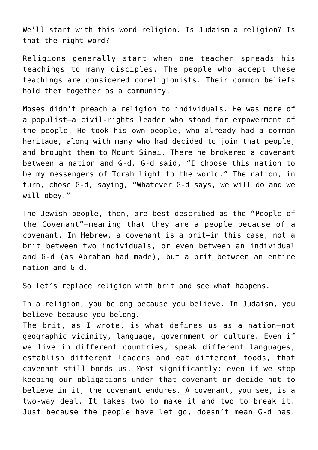We'll start with this word religion. Is Judaism a religion? Is that the right word?

Religions generally start when one teacher spreads his teachings to many disciples. The people who accept these teachings are considered coreligionists. Their common beliefs hold them together as a community.

Moses didn't preach a religion to individuals. He was more of a populist—a civil-rights leader who stood for empowerment of the people. He took his own people, who already had a common heritage, along with many who had decided to join that people, and brought them to Mount Sinai. There he brokered a covenant between a nation and G‑d. G‑d said, "I choose this nation to be my messengers of Torah light to the world." The nation, in turn, chose G‑d, saying, "Whatever G‑d says, we will do and we will obey."

The Jewish people, then, are best described as the "People of the Covenant"—meaning that they are a people because of a covenant. In Hebrew, a covenant is a brit—in this case, not a brit between two individuals, or even between an individual and G‑d (as Abraham had made), but a brit between an entire nation and G‑d.

So let's replace religion with brit and see what happens.

In a religion, you belong because you believe. In Judaism, you believe because you belong.

The brit, as I wrote, is what defines us as a nation—not geographic vicinity, language, government or culture. Even if we live in different countries, speak different languages, establish different leaders and eat different foods, that covenant still bonds us. Most significantly: even if we stop keeping our obligations under that covenant or decide not to believe in it, the covenant endures. A covenant, you see, is a two-way deal. It takes two to make it and two to break it. Just because the people have let go, doesn't mean G‑d has.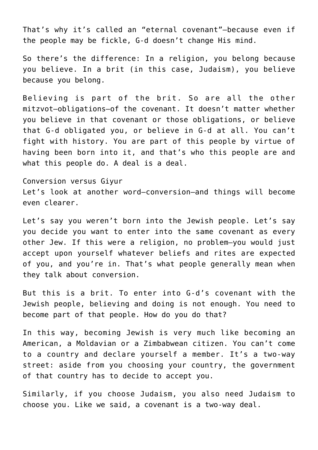That's why it's called an "eternal covenant"—because even if the people may be fickle, G‑d doesn't change His mind.

So there's the difference: In a religion, you belong because you believe. In a brit (in this case, Judaism), you believe because you belong.

Believing is part of the brit. So are all the other mitzvot—obligations—of the covenant. It doesn't matter whether you believe in that covenant or those obligations, or believe that G‑d obligated you, or believe in G‑d at all. You can't fight with history. You are part of this people by virtue of having been born into it, and that's who this people are and what this people do. A deal is a deal.

Conversion versus Giyur Let's look at another word—conversion—and things will become even clearer.

Let's say you weren't born into the Jewish people. Let's say you decide you want to enter into the same covenant as every other Jew. If this were a religion, no problem—you would just accept upon yourself whatever beliefs and rites are expected of you, and you're in. That's what people generally mean when they talk about conversion.

But this is a brit. To enter into G‑d's covenant with the Jewish people, believing and doing is not enough. You need to become part of that people. How do you do that?

In this way, becoming Jewish is very much like becoming an American, a Moldavian or a Zimbabwean citizen. You can't come to a country and declare yourself a member. It's a two-way street: aside from you choosing your country, the government of that country has to decide to accept you.

Similarly, if you choose Judaism, you also need Judaism to choose you. Like we said, a covenant is a two-way deal.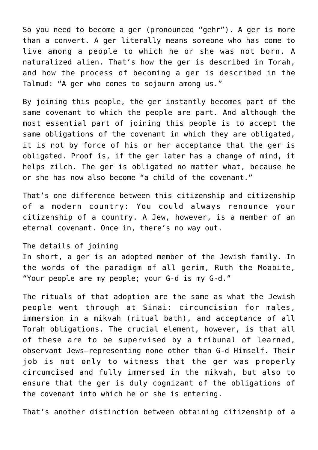So you need to become a ger (pronounced "gehr"). A ger is more than a convert. A ger literally means someone who has come to live among a people to which he or she was not born. A naturalized alien. That's how the ger is described in Torah, and how the process of becoming a ger is described in the Talmud: "A ger who comes to sojourn among us."

By joining this people, the ger instantly becomes part of the same covenant to which the people are part. And although the most essential part of joining this people is to accept the same obligations of the covenant in which they are obligated, it is not by force of his or her acceptance that the ger is obligated. Proof is, if the ger later has a change of mind, it helps zilch. The ger is obligated no matter what, because he or she has now also become "a child of the covenant."

That's one difference between this citizenship and citizenship of a modern country: You could always renounce your citizenship of a country. A Jew, however, is a member of an eternal covenant. Once in, there's no way out.

The details of joining

In short, a ger is an adopted member of the Jewish family. In the words of the paradigm of all gerim, Ruth the Moabite, "Your people are my people; your G‑d is my G‑d."

The rituals of that adoption are the same as what the Jewish people went through at Sinai: circumcision for males, immersion in a mikvah (ritual bath), and acceptance of all Torah obligations. The crucial element, however, is that all of these are to be supervised by a tribunal of learned, observant Jews—representing none other than G‑d Himself. Their job is not only to witness that the ger was properly circumcised and fully immersed in the mikvah, but also to ensure that the ger is duly cognizant of the obligations of the covenant into which he or she is entering.

That's another distinction between obtaining citizenship of a